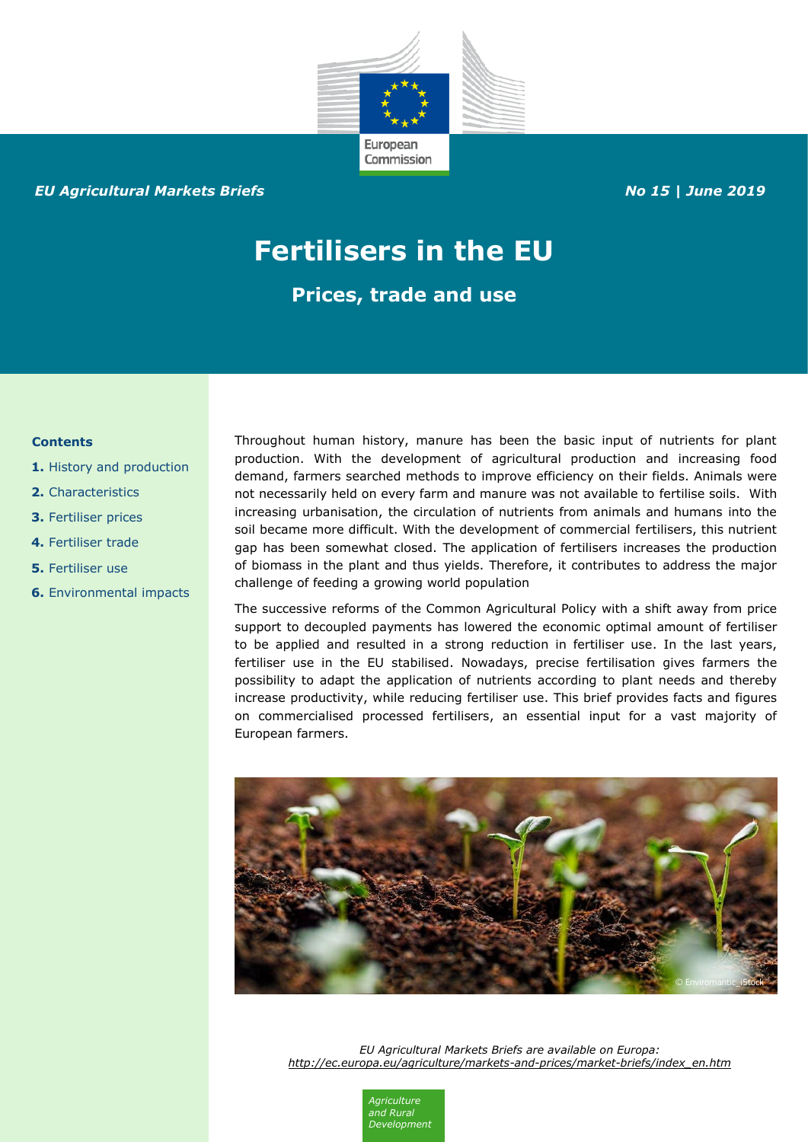

## *EU Agricultural Markets Briefs No 15 | June 2019*

# **Fertilisers in the EU**

**Prices, trade and use**

#### **Contents**

- **1.** History and production
- **2.** Characteristics
- **3.** Fertiliser prices
- **4.** Fertiliser trade
- **5.** Fertiliser use
- **6.** Environmental impacts

Throughout human history, manure has been the basic input of nutrients for plant production. With the development of agricultural production and increasing food demand, farmers searched methods to improve efficiency on their fields. Animals were not necessarily held on every farm and manure was not available to fertilise soils. With increasing urbanisation, the circulation of nutrients from animals and humans into the soil became more difficult. With the development of commercial fertilisers, this nutrient gap has been somewhat closed. The application of fertilisers increases the production of biomass in the plant and thus yields. Therefore, it contributes to address the major challenge of feeding a growing world population

The successive reforms of the Common Agricultural Policy with a shift away from price support to decoupled payments has lowered the economic optimal amount of fertiliser to be applied and resulted in a strong reduction in fertiliser use. In the last years, fertiliser use in the EU stabilised. Nowadays, precise fertilisation gives farmers the possibility to adapt the application of nutrients according to plant needs and thereby increase productivity, while reducing fertiliser use. This brief provides facts and figures on commercialised processed fertilisers, an essential input for a vast majority of European farmers.



*EU Agricultural Markets Briefs are available on Europa: [http://ec.europa.eu/agriculture/markets-and-prices/market-briefs/index\\_en.htm](http://ec.europa.eu/agriculture/markets-and-prices/market-briefs/index_en.htm)*

> *Agriculture and Rural Development*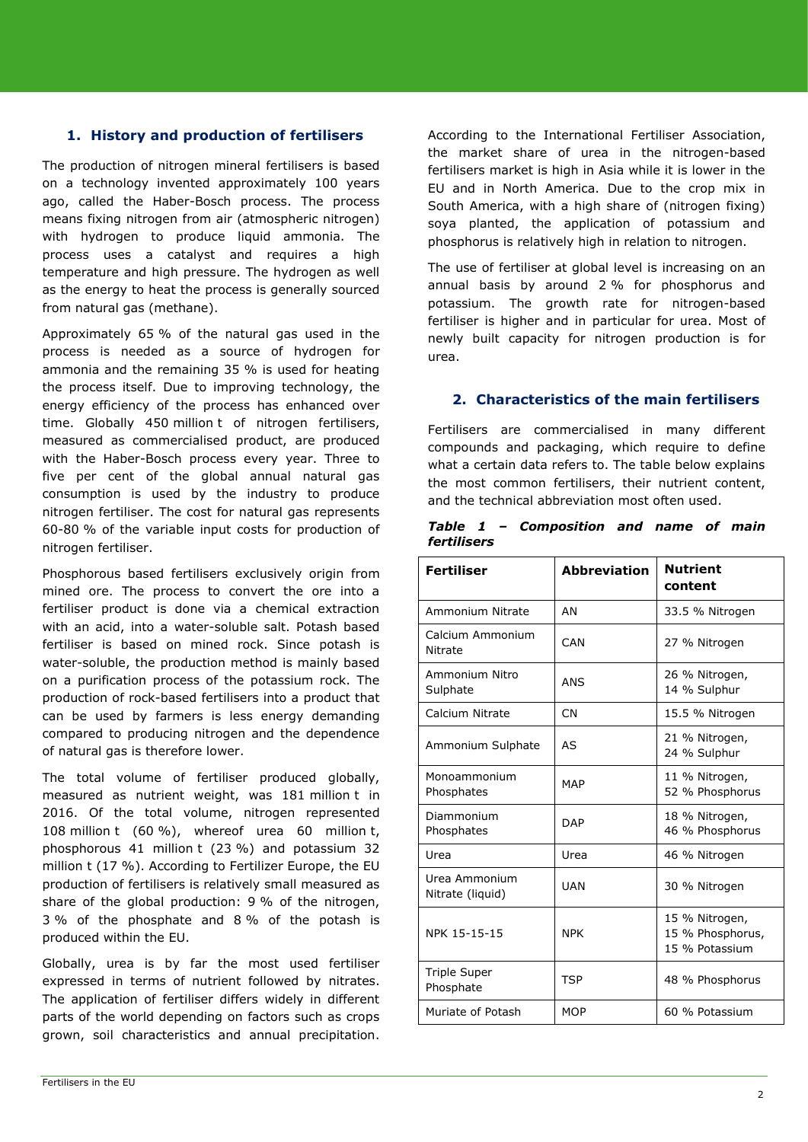# **1. History and production of fertilisers**

The production of nitrogen mineral fertilisers is based on a technology invented approximately 100 years ago, called the Haber-Bosch process. The process means fixing nitrogen from air (atmospheric nitrogen) with hydrogen to produce liquid ammonia. The process uses a catalyst and requires a high temperature and high pressure. The hydrogen as well as the energy to heat the process is generally sourced from natural gas (methane).

Approximately 65 % of the natural gas used in the process is needed as a source of hydrogen for ammonia and the remaining 35 % is used for heating the process itself. Due to improving technology, the energy efficiency of the process has enhanced over time. Globally 450 million t of nitrogen fertilisers, measured as commercialised product, are produced with the Haber-Bosch process every year. Three to five per cent of the global annual natural gas consumption is used by the industry to produce nitrogen fertiliser. The cost for natural gas represents 60-80 % of the variable input costs for production of nitrogen fertiliser.

Phosphorous based fertilisers exclusively origin from mined ore. The process to convert the ore into a fertiliser product is done via a chemical extraction with an acid, into a water-soluble salt. Potash based fertiliser is based on mined rock. Since potash is water-soluble, the production method is mainly based on a purification process of the potassium rock. The production of rock-based fertilisers into a product that can be used by farmers is less energy demanding compared to producing nitrogen and the dependence of natural gas is therefore lower.

The total volume of fertiliser produced globally, measured as nutrient weight, was 181 million t in 2016. Of the total volume, nitrogen represented 108 million t (60 %), whereof urea 60 million t, phosphorous 41 million t (23 %) and potassium 32 million t (17 %). According to Fertilizer Europe, the EU production of fertilisers is relatively small measured as share of the global production: 9 % of the nitrogen, 3 % of the phosphate and 8 % of the potash is produced within the EU.

Globally, urea is by far the most used fertiliser expressed in terms of nutrient followed by nitrates. The application of fertiliser differs widely in different parts of the world depending on factors such as crops grown, soil characteristics and annual precipitation.

According to the International Fertiliser Association, the market share of urea in the nitrogen-based fertilisers market is high in Asia while it is lower in the EU and in North America. Due to the crop mix in South America, with a high share of (nitrogen fixing) soya planted, the application of potassium and phosphorus is relatively high in relation to nitrogen.

The use of fertiliser at global level is increasing on an annual basis by around 2 % for phosphorus and potassium. The growth rate for nitrogen-based fertiliser is higher and in particular for urea. Most of newly built capacity for nitrogen production is for urea.

#### **2. Characteristics of the main fertilisers**

Fertilisers are commercialised in many different compounds and packaging, which require to define what a certain data refers to. The table below explains the most common fertilisers, their nutrient content, and the technical abbreviation most often used.

| <b>Fertiliser</b>                 | <b>Abbreviation</b> | <b>Nutrient</b><br>content                           |  |
|-----------------------------------|---------------------|------------------------------------------------------|--|
| Ammonium Nitrate                  | AN                  | 33.5 % Nitrogen                                      |  |
| Calcium Ammonium<br>Nitrate       | CAN                 | 27 % Nitrogen                                        |  |
| Ammonium Nitro<br>Sulphate        | ANS                 | 26 % Nitrogen,<br>14 % Sulphur                       |  |
| Calcium Nitrate                   | <b>CN</b>           | 15.5 % Nitrogen                                      |  |
| Ammonium Sulphate                 | AS                  | 21 % Nitrogen,<br>24 % Sulphur                       |  |
| Monoammonium<br>Phosphates        | <b>MAP</b>          | 11 % Nitrogen,<br>52 % Phosphorus                    |  |
| Diammonium<br>Phosphates          | <b>DAP</b>          | 18 % Nitrogen,<br>46 % Phosphorus                    |  |
| Urea                              | Urea                | 46 % Nitrogen                                        |  |
| Urea Ammonium<br>Nitrate (liquid) | <b>UAN</b>          | 30 % Nitrogen                                        |  |
| NPK 15-15-15                      | <b>NPK</b>          | 15 % Nitrogen,<br>15 % Phosphorus,<br>15 % Potassium |  |
| <b>Triple Super</b><br>Phosphate  | <b>TSP</b>          | 48 % Phosphorus                                      |  |
| Muriate of Potash                 | <b>MOP</b>          | 60 % Potassium                                       |  |

*Table 1 – Composition and name of main fertilisers*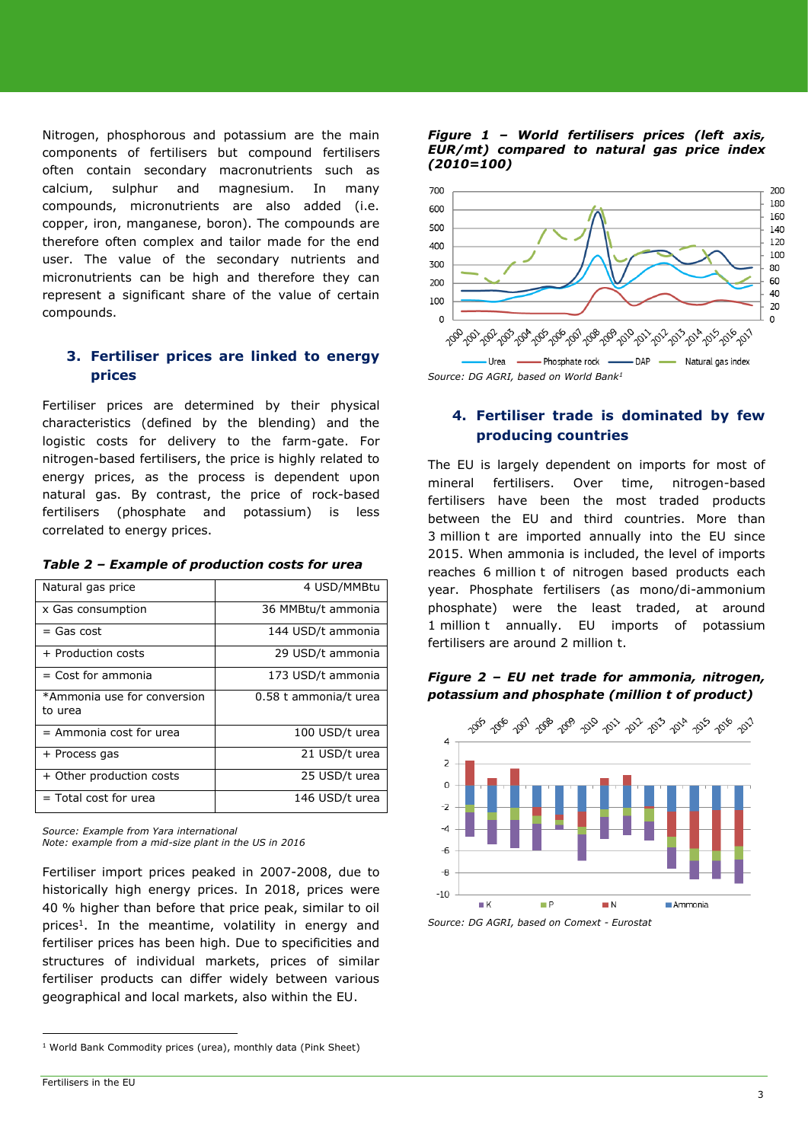Nitrogen, phosphorous and potassium are the main components of fertilisers but compound fertilisers often contain secondary macronutrients such as calcium, sulphur and magnesium. In many compounds, micronutrients are also added (i.e. copper, iron, manganese, boron). The compounds are therefore often complex and tailor made for the end user. The value of the secondary nutrients and micronutrients can be high and therefore they can represent a significant share of the value of certain compounds.

# **3. Fertiliser prices are linked to energy prices**

Fertiliser prices are determined by their physical characteristics (defined by the blending) and the logistic costs for delivery to the farm-gate. For nitrogen-based fertilisers, the price is highly related to energy prices, as the process is dependent upon natural gas. By contrast, the price of rock-based fertilisers (phosphate and potassium) is less correlated to energy prices.

| Natural gas price                      | 4 USD/MMBtu           |  |  |  |
|----------------------------------------|-----------------------|--|--|--|
| x Gas consumption                      | 36 MMBtu/t ammonia    |  |  |  |
| $=$ Gas cost                           | 144 USD/t ammonia     |  |  |  |
| + Production costs                     | 29 USD/t ammonia      |  |  |  |
| $=$ Cost for ammonia                   | 173 USD/t ammonia     |  |  |  |
| *Ammonia use for conversion<br>to urea | 0.58 t ammonia/t urea |  |  |  |
| $=$ Ammonia cost for urea              | 100 USD/t urea        |  |  |  |
| + Process gas                          | 21 USD/t urea         |  |  |  |
| + Other production costs               | 25 USD/t urea         |  |  |  |
| $=$ Total cost for urea                | 146 USD/t urea        |  |  |  |

*Source: Example from Yara international Note: example from a mid-size plant in the US in 2016*

Fertiliser import prices peaked in 2007-2008, due to historically high energy prices. In 2018, prices were 40 % higher than before that price peak, similar to oil prices<sup>1</sup>. In the meantime, volatility in energy and fertiliser prices has been high. Due to specificities and structures of individual markets, prices of similar fertiliser products can differ widely between various geographical and local markets, also within the EU.

#### *Figure 1 – World fertilisers prices (left axis, EUR/mt) compared to natural gas price index (2010=100)*



# **4. Fertiliser trade is dominated by few producing countries**

The EU is largely dependent on imports for most of mineral fertilisers. Over time, nitrogen-based fertilisers have been the most traded products between the EU and third countries. More than 3 million t are imported annually into the EU since 2015. When ammonia is included, the level of imports reaches 6 million t of nitrogen based products each year. Phosphate fertilisers (as mono/di-ammonium phosphate) were the least traded, at around 1 million t annually. EU imports of potassium fertilisers are around 2 million t.



 $\blacksquare$  N

Ammonia

*Figure 2 – EU net trade for ammonia, nitrogen,* 



 $-10$ 

 $\blacksquare$  K

 $\overline{a}$ 

<sup>&</sup>lt;sup>1</sup> World Bank Commodity prices (urea), monthly data (Pink Sheet)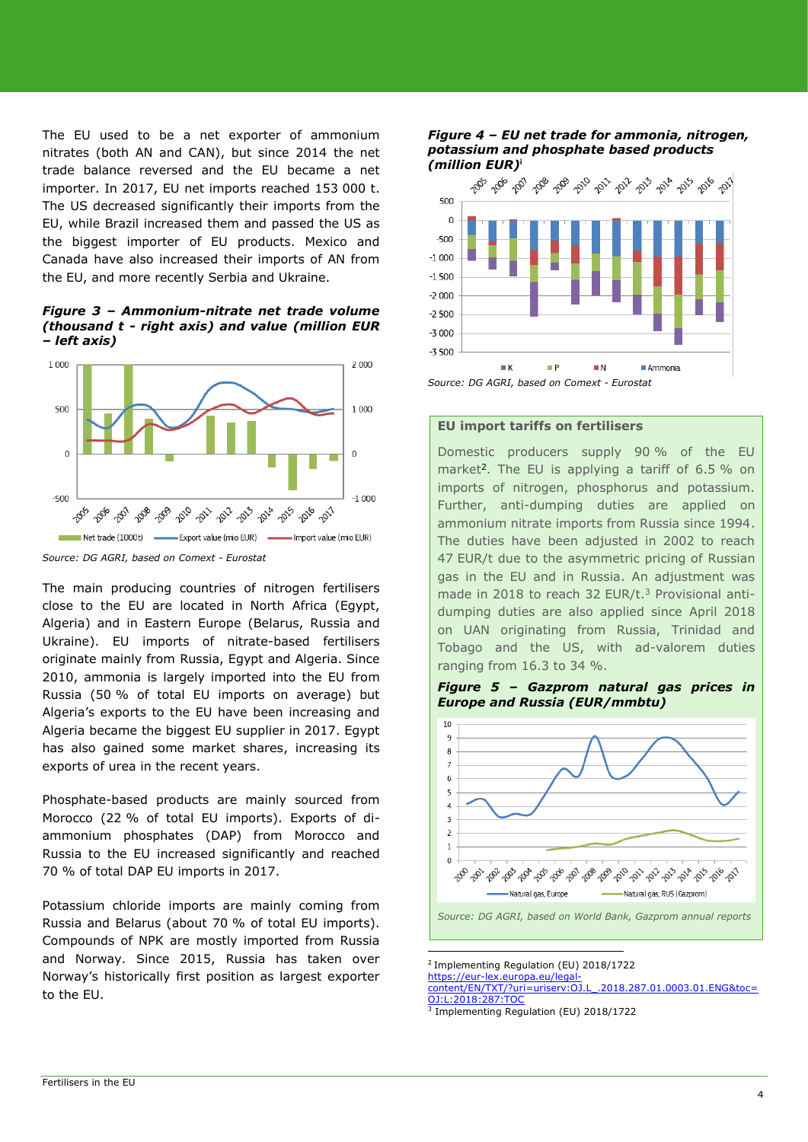The EU used to be a net exporter of ammonium nitrates (both AN and CAN), but since 2014 the net trade balance reversed and the EU became a net importer. In 2017, EU net imports reached 153 000 t. The US decreased significantly their imports from the EU, while Brazil increased them and passed the US as the biggest importer of EU products. Mexico and Canada have also increased their imports of AN from the EU, and more recently Serbia and Ukraine.

*Figure 3 – Ammonium-nitrate net trade volume (thousand t - right axis) and value (million EUR – left axis)*



*Source: DG AGRI, based on Comext - Eurostat*

The main producing countries of nitrogen fertilisers close to the EU are located in North Africa (Egypt, Algeria) and in Eastern Europe (Belarus, Russia and Ukraine). EU imports of nitrate-based fertilisers originate mainly from Russia, Egypt and Algeria. Since 2010, ammonia is largely imported into the EU from Russia (50 % of total EU imports on average) but Algeria's exports to the EU have been increasing and Algeria became the biggest EU supplier in 2017. Egypt has also gained some market shares, increasing its exports of urea in the recent years.

Phosphate-based products are mainly sourced from Morocco (22 % of total EU imports). Exports of diammonium phosphates (DAP) from Morocco and Russia to the EU increased significantly and reached 70 % of total DAP EU imports in 2017.

Potassium chloride imports are mainly coming from Russia and Belarus (about 70 % of total EU imports). Compounds of NPK are mostly imported from Russia and Norway. Since 2015, Russia has taken over Norway's historically first position as largest exporter to the EU.

#### *Figure 4 – EU net trade for ammonia, nitrogen, potassium and phosphate based products (million EUR)* **i**



*Source: DG AGRI, based on Comext - Eurostat*

#### **EU import tariffs on fertilisers**

Domestic producers supply 90 % of the EU market<sup>2</sup>. The EU is applying a tariff of 6.5 % on imports of nitrogen, phosphorus and potassium. Further, anti-dumping duties are applied on ammonium nitrate imports from Russia since 1994. The duties have been adjusted in 2002 to reach 47 EUR/t due to the asymmetric pricing of Russian gas in the EU and in Russia. An adjustment was made in 2018 to reach 32 EUR/t.<sup>3</sup> Provisional antidumping duties are also applied since April 2018 on UAN originating from Russia, Trinidad and Tobago and the US, with ad-valorem duties ranging from 16.3 to 34 %.

*Figure 5 – Gazprom natural gas prices in Europe and Russia (EUR/mmbtu)*



*Source: DG AGRI, based on World Bank, Gazprom annual reports*

<u>.</u> 2 Implementing Regulation (EU) 2018/1722

[https://eur-lex.europa.eu/legal](https://eur-lex.europa.eu/legal-content/EN/TXT/?uri=uriserv:OJ.L_.2018.287.01.0003.01.ENG&toc=OJ:L:2018:287:TOC)[content/EN/TXT/?uri=uriserv:OJ.L\\_.2018.287.01.0003.01.ENG&toc=](https://eur-lex.europa.eu/legal-content/EN/TXT/?uri=uriserv:OJ.L_.2018.287.01.0003.01.ENG&toc=OJ:L:2018:287:TOC)

[OJ:L:2018:287:TOC](https://eur-lex.europa.eu/legal-content/EN/TXT/?uri=uriserv:OJ.L_.2018.287.01.0003.01.ENG&toc=OJ:L:2018:287:TOC) 3 Implementing Regulation (EU) 2018/1722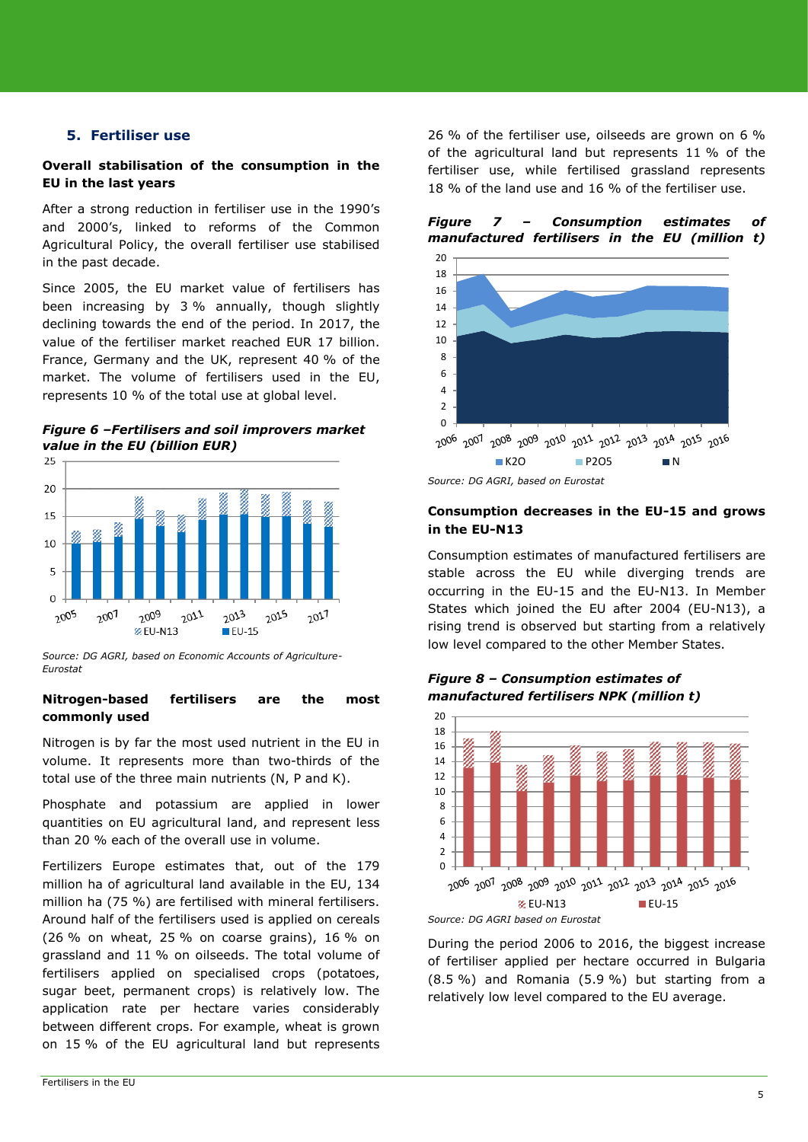#### **5. Fertiliser use**

#### **Overall stabilisation of the consumption in the EU in the last years**

After a strong reduction in fertiliser use in the 1990's and 2000's, linked to reforms of the Common Agricultural Policy, the overall fertiliser use stabilised in the past decade.

Since 2005, the EU market value of fertilisers has been increasing by 3 % annually, though slightly declining towards the end of the period. In 2017, the value of the fertiliser market reached EUR 17 billion. France, Germany and the UK, represent 40 % of the market. The volume of fertilisers used in the EU, represents 10 % of the total use at global level.

*Figure 6 –Fertilisers and soil improvers market value in the EU (billion EUR)*



*Source: DG AGRI, based on Economic Accounts of Agriculture-Eurostat*

#### **Nitrogen-based fertilisers are the most commonly used**

Nitrogen is by far the most used nutrient in the EU in volume. It represents more than two-thirds of the total use of the three main nutrients (N, P and K).

Phosphate and potassium are applied in lower quantities on EU agricultural land, and represent less than 20 % each of the overall use in volume.

Fertilizers Europe estimates that, out of the 179 million ha of agricultural land available in the EU, 134 million ha (75 %) are fertilised with mineral fertilisers. Around half of the fertilisers used is applied on cereals (26 % on wheat, 25 % on coarse grains), 16 % on grassland and 11 % on oilseeds. The total volume of fertilisers applied on specialised crops (potatoes, sugar beet, permanent crops) is relatively low. The application rate per hectare varies considerably between different crops. For example, wheat is grown on 15 % of the EU agricultural land but represents

26 % of the fertiliser use, oilseeds are grown on 6 % of the agricultural land but represents 11 % of the fertiliser use, while fertilised grassland represents 18 % of the land use and 16 % of the fertiliser use.

#### *Figure 7 – Consumption estimates of manufactured fertilisers in the EU (million t)*



*Source: DG AGRI, based on Eurostat*

#### **Consumption decreases in the EU-15 and grows in the EU-N13**

Consumption estimates of manufactured fertilisers are stable across the EU while diverging trends are occurring in the EU-15 and the EU-N13. In Member States which joined the EU after 2004 (EU-N13), a rising trend is observed but starting from a relatively low level compared to the other Member States.

*Figure 8 – Consumption estimates of manufactured fertilisers NPK (million t)*



During the period 2006 to 2016, the biggest increase of fertiliser applied per hectare occurred in Bulgaria (8.5 %) and Romania (5.9 %) but starting from a relatively low level compared to the EU average.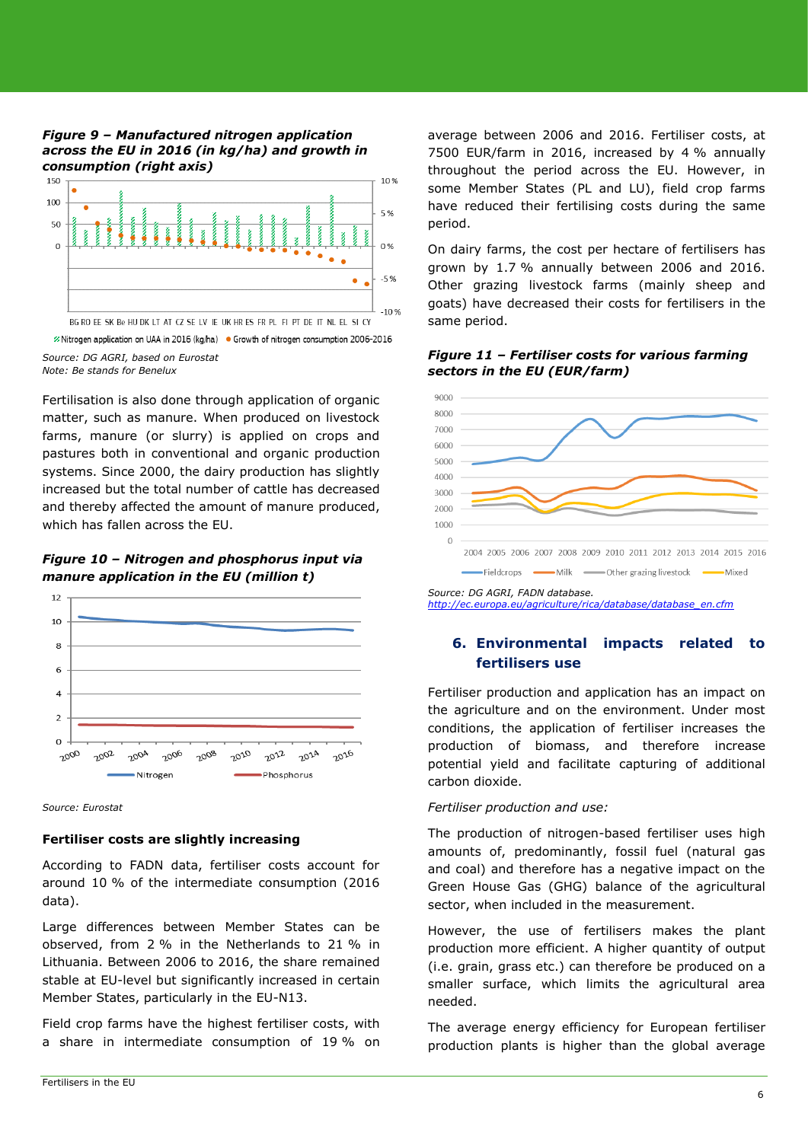#### *Figure 9 – Manufactured nitrogen application across the EU in 2016 (in kg/ha) and growth in consumption (right axis)*



<sup>2</sup> Nitrogen application on UAA in 2016 (kg/ha) ● Growth of nitrogen consumption 2006-2016

*Source: DG AGRI, based on Eurostat Note: Be stands for Benelux*

Fertilisation is also done through application of organic matter, such as manure. When produced on livestock farms, manure (or slurry) is applied on crops and pastures both in conventional and organic production systems. Since 2000, the dairy production has slightly increased but the total number of cattle has decreased and thereby affected the amount of manure produced, which has fallen across the EU.

## *Figure 10 – Nitrogen and phosphorus input via manure application in the EU (million t)*



*Source: Eurostat*

## **Fertiliser costs are slightly increasing**

According to FADN data, fertiliser costs account for around 10 % of the intermediate consumption (2016 data).

Large differences between Member States can be observed, from 2 % in the Netherlands to 21 % in Lithuania. Between 2006 to 2016, the share remained stable at EU-level but significantly increased in certain Member States, particularly in the EU-N13.

Field crop farms have the highest fertiliser costs, with a share in intermediate consumption of 19 % on average between 2006 and 2016. Fertiliser costs, at 7500 EUR/farm in 2016, increased by 4 % annually throughout the period across the EU. However, in some Member States (PL and LU), field crop farms have reduced their fertilising costs during the same period.

On dairy farms, the cost per hectare of fertilisers has grown by 1.7 % annually between 2006 and 2016. Other grazing livestock farms (mainly sheep and goats) have decreased their costs for fertilisers in the same period.



*Figure 11 – Fertiliser costs for various farming* 



*Source: DG AGRI, FADN database. [http://ec.europa.eu/agriculture/rica/database/database\\_en.cfm](http://ec.europa.eu/agriculture/rica/database/database_en.cfm)*

# **6. Environmental impacts related to fertilisers use**

Fertiliser production and application has an impact on the agriculture and on the environment. Under most conditions, the application of fertiliser increases the production of biomass, and therefore increase potential yield and facilitate capturing of additional carbon dioxide.

## *Fertiliser production and use:*

The production of nitrogen-based fertiliser uses high amounts of, predominantly, fossil fuel (natural gas and coal) and therefore has a negative impact on the Green House Gas (GHG) balance of the agricultural sector, when included in the measurement.

However, the use of fertilisers makes the plant production more efficient. A higher quantity of output (i.e. grain, grass etc.) can therefore be produced on a smaller surface, which limits the agricultural area needed.

The average energy efficiency for European fertiliser production plants is higher than the global average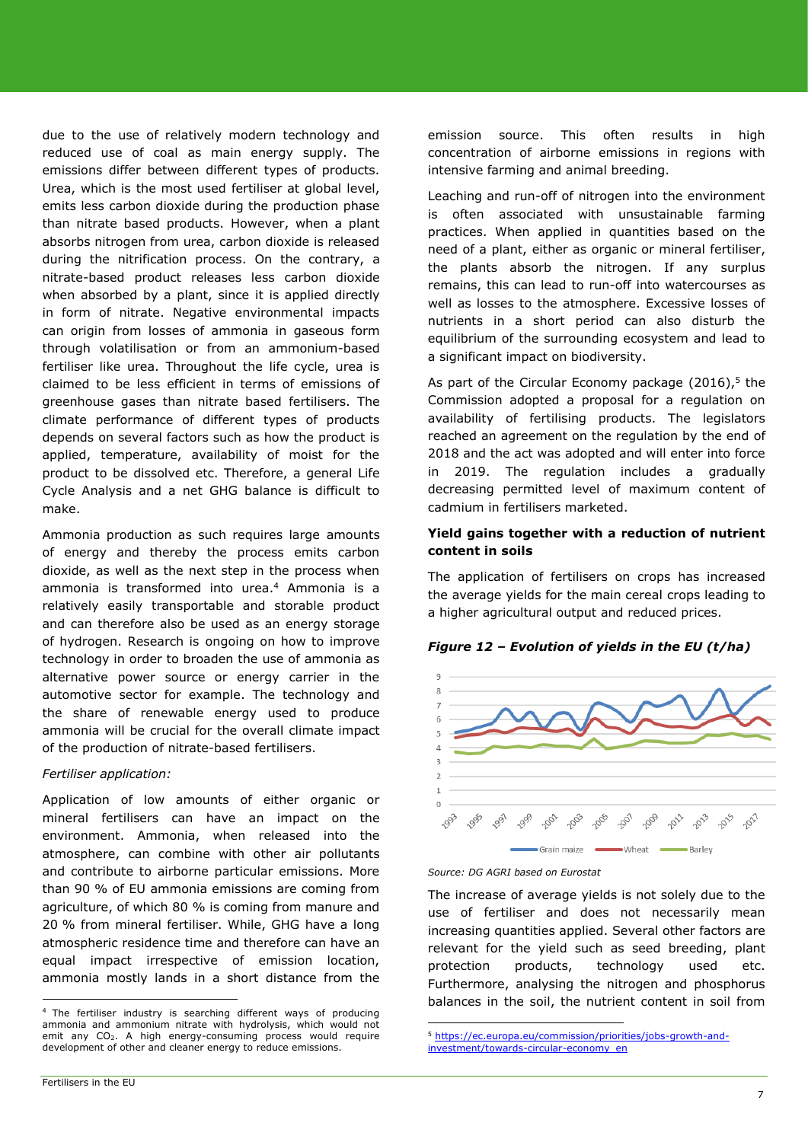due to the use of relatively modern technology and reduced use of coal as main energy supply. The emissions differ between different types of products. Urea, which is the most used fertiliser at global level, emits less carbon dioxide during the production phase than nitrate based products. However, when a plant absorbs nitrogen from urea, carbon dioxide is released during the nitrification process. On the contrary, a nitrate-based product releases less carbon dioxide when absorbed by a plant, since it is applied directly in form of nitrate. Negative environmental impacts can origin from losses of ammonia in gaseous form through volatilisation or from an ammonium-based fertiliser like urea. Throughout the life cycle, urea is claimed to be less efficient in terms of emissions of greenhouse gases than nitrate based fertilisers. The climate performance of different types of products depends on several factors such as how the product is applied, temperature, availability of moist for the product to be dissolved etc. Therefore, a general Life Cycle Analysis and a net GHG balance is difficult to make.

Ammonia production as such requires large amounts of energy and thereby the process emits carbon dioxide, as well as the next step in the process when ammonia is transformed into urea. <sup>4</sup> Ammonia is a relatively easily transportable and storable product and can therefore also be used as an energy storage of hydrogen. Research is ongoing on how to improve technology in order to broaden the use of ammonia as alternative power source or energy carrier in the automotive sector for example. The technology and the share of renewable energy used to produce ammonia will be crucial for the overall climate impact of the production of nitrate-based fertilisers.

#### *Fertiliser application:*

Application of low amounts of either organic or mineral fertilisers can have an impact on the environment. Ammonia, when released into the atmosphere, can combine with other air pollutants and contribute to airborne particular emissions. More than 90 % of EU ammonia emissions are coming from agriculture, of which 80 % is coming from manure and 20 % from mineral fertiliser. While, GHG have a long atmospheric residence time and therefore can have an equal impact irrespective of emission location, ammonia mostly lands in a short distance from the

emission source. This often results in high concentration of airborne emissions in regions with intensive farming and animal breeding.

Leaching and run-off of nitrogen into the environment is often associated with unsustainable farming practices. When applied in quantities based on the need of a plant, either as organic or mineral fertiliser, the plants absorb the nitrogen. If any surplus remains, this can lead to run-off into watercourses as well as losses to the atmosphere. Excessive losses of nutrients in a short period can also disturb the equilibrium of the surrounding ecosystem and lead to a significant impact on biodiversity.

As part of the Circular Economy package (2016),<sup>5</sup> the Commission adopted a proposal for a regulation on availability of fertilising products. The legislators reached an agreement on the regulation by the end of 2018 and the act was adopted and will enter into force in 2019. The regulation includes a gradually decreasing permitted level of maximum content of cadmium in fertilisers marketed.

## **Yield gains together with a reduction of nutrient content in soils**

The application of fertilisers on crops has increased the average yields for the main cereal crops leading to a higher agricultural output and reduced prices.



## *Figure 12 – Evolution of yields in the EU (t/ha)*

#### *Source: DG AGRI based on Eurostat*

1

The increase of average yields is not solely due to the use of fertiliser and does not necessarily mean increasing quantities applied. Several other factors are relevant for the yield such as seed breeding, plant protection products, technology used etc. Furthermore, analysing the nitrogen and phosphorus balances in the soil, the nutrient content in soil from

 $\overline{a}$ 

<sup>&</sup>lt;sup>4</sup> The fertiliser industry is searching different ways of producing ammonia and ammonium nitrate with hydrolysis, which would not emit any  $CO<sub>2</sub>$ . A high energy-consuming process would require development of other and cleaner energy to reduce emissions.

<sup>5</sup> [https://ec.europa.eu/commission/priorities/jobs-growth-and](https://ec.europa.eu/commission/priorities/jobs-growth-and-investment/towards-circular-economy_en)[investment/towards-circular-economy\\_en](https://ec.europa.eu/commission/priorities/jobs-growth-and-investment/towards-circular-economy_en)